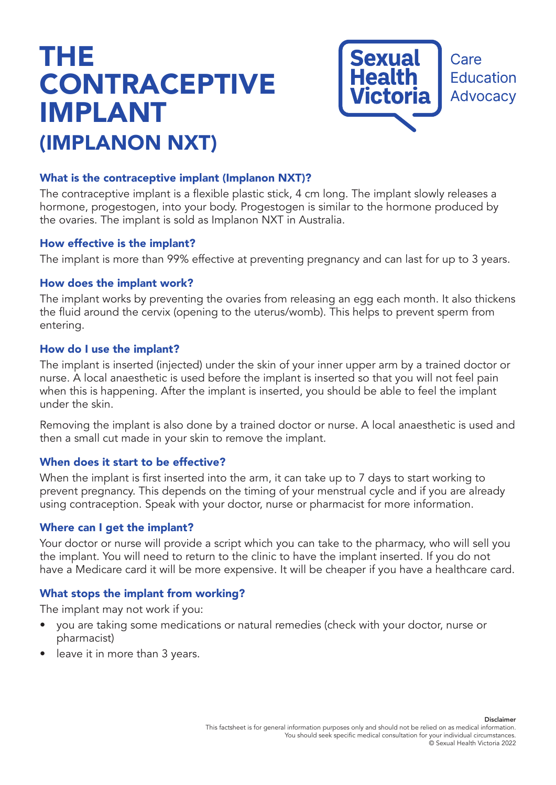# THE **CONTRACEPTIVE** IMPLANT (IMPLANON NXT)



## What is the contraceptive implant (Implanon NXT)?

The contraceptive implant is a flexible plastic stick, 4 cm long. The implant slowly releases a hormone, progestogen, into your body. Progestogen is similar to the hormone produced by the ovaries. The implant is sold as Implanon NXT in Australia.

#### How effective is the implant?

The implant is more than 99% effective at preventing pregnancy and can last for up to 3 years.

## How does the implant work?

The implant works by preventing the ovaries from releasing an egg each month. It also thickens the fluid around the cervix (opening to the uterus/womb). This helps to prevent sperm from entering.

#### How do I use the implant?

The implant is inserted (injected) under the skin of your inner upper arm by a trained doctor or nurse. A local anaesthetic is used before the implant is inserted so that you will not feel pain when this is happening. After the implant is inserted, you should be able to feel the implant under the skin.

Removing the implant is also done by a trained doctor or nurse. A local anaesthetic is used and then a small cut made in your skin to remove the implant.

## When does it start to be effective?

When the implant is first inserted into the arm, it can take up to 7 days to start working to prevent pregnancy. This depends on the timing of your menstrual cycle and if you are already using contraception. Speak with your doctor, nurse or pharmacist for more information.

#### Where can I get the implant?

Your doctor or nurse will provide a script which you can take to the pharmacy, who will sell you the implant. You will need to return to the clinic to have the implant inserted. If you do not have a Medicare card it will be more expensive. It will be cheaper if you have a healthcare card.

## What stops the implant from working?

The implant may not work if you:

- you are taking some medications or natural remedies (check with your doctor, nurse or pharmacist)
- leave it in more than 3 years.

Disclaimer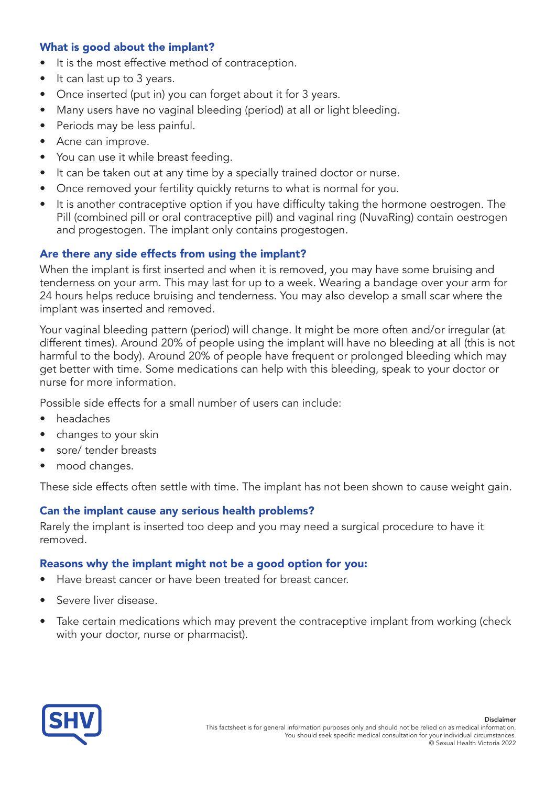# What is good about the implant?

- It is the most effective method of contraception.
- It can last up to 3 years.
- Once inserted (put in) you can forget about it for 3 years.
- Many users have no vaginal bleeding (period) at all or light bleeding.
- Periods may be less painful.
- Acne can improve.
- You can use it while breast feeding.
- It can be taken out at any time by a specially trained doctor or nurse.
- Once removed your fertility quickly returns to what is normal for you.
- It is another contraceptive option if you have difficulty taking the hormone oestrogen. The Pill (combined pill or oral contraceptive pill) and vaginal ring (NuvaRing) contain oestrogen and progestogen. The implant only contains progestogen.

# Are there any side effects from using the implant?

When the implant is first inserted and when it is removed, you may have some bruising and tenderness on your arm. This may last for up to a week. Wearing a bandage over your arm for 24 hours helps reduce bruising and tenderness. You may also develop a small scar where the implant was inserted and removed.

Your vaginal bleeding pattern (period) will change. It might be more often and/or irregular (at different times). Around 20% of people using the implant will have no bleeding at all (this is not harmful to the body). Around 20% of people have frequent or prolonged bleeding which may get better with time. Some medications can help with this bleeding, speak to your doctor or nurse for more information.

Possible side effects for a small number of users can include:

- headaches
- changes to your skin
- sore/ tender breasts
- mood changes.

These side effects often settle with time. The implant has not been shown to cause weight gain.

## Can the implant cause any serious health problems?

Rarely the implant is inserted too deep and you may need a surgical procedure to have it removed.

## Reasons why the implant might not be a good option for you:

- Have breast cancer or have been treated for breast cancer.
- Severe liver disease.
- Take certain medications which may prevent the contraceptive implant from working (check with your doctor, nurse or pharmacist).